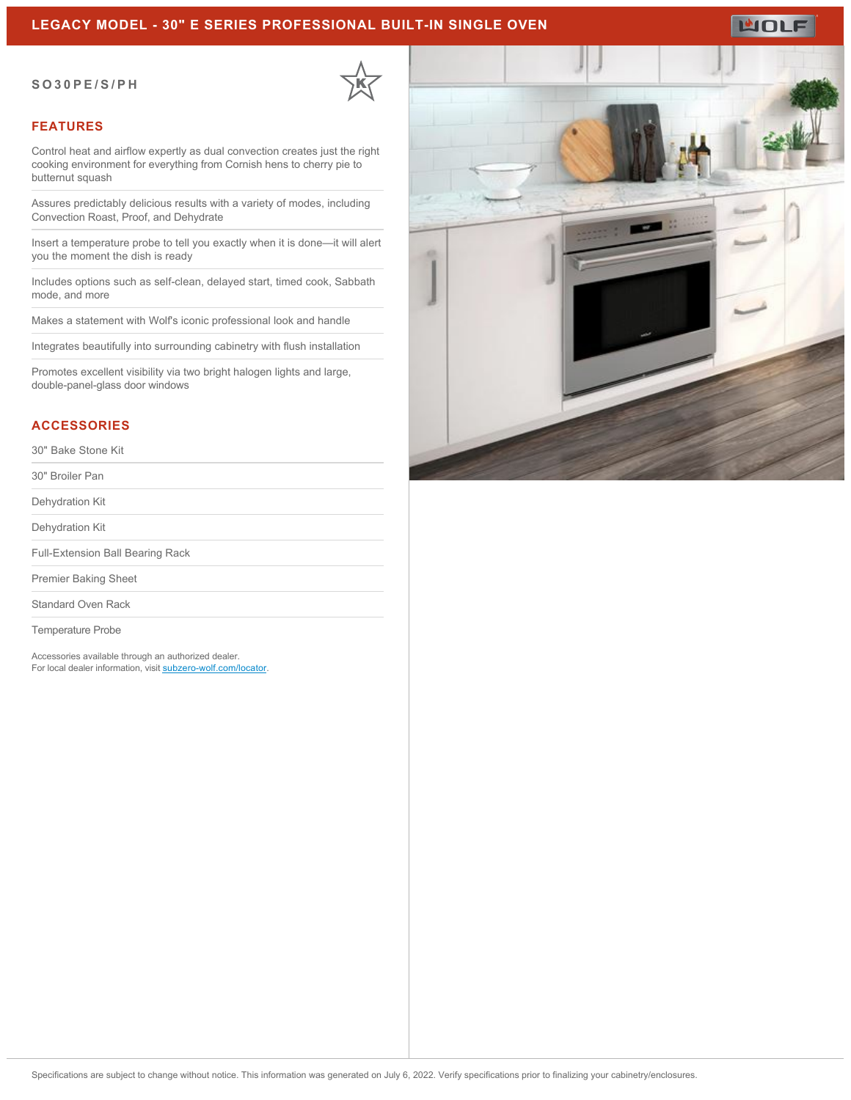## **LEGACY MODEL - 30" E SERIES PROFESSIONAL BUILT-IN SINGLE OVEN**

#### **SO30PE/S/PH**



### **FEATURES**

Control heat and airflow expertly as dual convection creates just the right cooking environment for everything from Cornish hens to cherry pie to butternut squash

Assures predictably delicious results with a variety of modes, including Convection Roast, Proof, and Dehydrate

Insert a temperature probe to tell you exactly when it is done—it will alert you the moment the dish is ready

Includes options such as self-clean, delayed start, timed cook, Sabbath mode, and more

Makes a statement with Wolf's iconic professional look and handle

Integrates beautifully into surrounding cabinetry with flush installation

Promotes excellent visibility via two bright halogen lights and large, double-panel-glass door windows

#### **ACCESSORIES**

30" Bake Stone Kit

30" Broiler Pan

Dehydration Kit

Dehydration Kit

Full-Extension Ball Bearing Rack

Premier Baking Sheet

Standard Oven Rack

Temperature Probe

Accessories available through an authorized dealer. For local dealer information, visit [subzero-wolf.com/locator.](http://www.subzero-wolf.com/locator)



**WOLF**